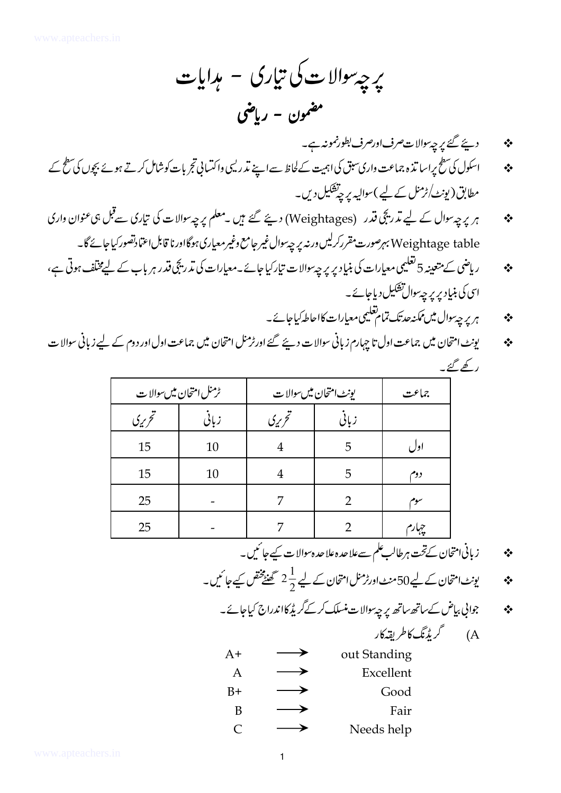- دیئے گئے پر چہ والا ت صرف اورصرف بطورنمونہ ہے۔ ❖
- اسکول کی سطح پراسا تنزہ جماعت واری سبق کی اہمیت کے لحاظ سے اپنے تمرر لیں واکتسانی تجربات کوشامل کرتے ہوئے بچوں کی سطح کے  $\cdot$ مطابق (پونٹ/ٹرمنل کے لیے)سوالیہ پر چینشکیل دیں۔
- ہر پر چہ سوال کے لیے تدریجی قدر (Weightages) دیئے گئے ہیں ۔معلم پر چہ سوالات کی تیاری سے قبل ہی عنوان واری  $\cdot$ Weightage table بېرصورت مقررکرلیں ورنه پر چه ٍسوال غیر جامع وغیر معیاری ہوگااورنا قابل اعتمادتصور کیاجائے گا۔
- ر پاضی کے متعینہ 5 تعلیمی معیارات کی بنیاد پر پر چہ سوالات تیار کیا جائے۔معیارات کی تد ریچی فتدر ہر باب کے لیےمختلف ہوتی ہے،  $\frac{1}{2}$ اسی کی بنیاد پر پر چہ وال تشکیل دیاجائے۔
	- ہر پر جی<sup>سو</sup>ال میں ممکنہ حدتک تمام تعلیمی معیارات کااحاطہ کیاجائے۔  $\frac{1}{2}$
- پونٹ امتحان میں جماعت اول تا جہارم زبانی سوالات دیئے گئے اورٹرمنل امتحان میں جماعت اول اور دوم کے لیے زبانی سوالات ❖ ر کھ گئے ۔

|        | ٹرمنل امتحان میںسوالا ت | يونٹ امتحان میں سوالا ت | جماعت |     |
|--------|-------------------------|-------------------------|-------|-----|
| تحريري | زبانى                   | تحرريى                  | زباني |     |
| 15     | 10                      |                         | 5     | اول |
| 15     | 10                      |                         | 5     | دوم |
| 25     |                         |                         |       | سوم |
| 25     |                         |                         |       |     |

- ز بانی امتحان کےتحت ہر طالب علم سےعلا حدہ علا حدہ سوالا ت کیے جا ئمیں۔ ❖
- یونٹ امتحان کے لیے 50 منٹ اورٹرمنل امتحان کے لیے  $\frac{1}{2}$  گھنٹے ختص کیے جا ئیں۔ ❖

جواني بیاض کے ساتھ ساتھ پر چہ سوالات منسلک کرکے گریڈ کااندراج کیاجائے۔  $\cdot$ 

A) گرېڈنگ کاطريقہ کار

| A+           | out Standing |
|--------------|--------------|
| A            | Excellent    |
| B+           | Good         |
| B            | Fair         |
| <sup>"</sup> | Needs help   |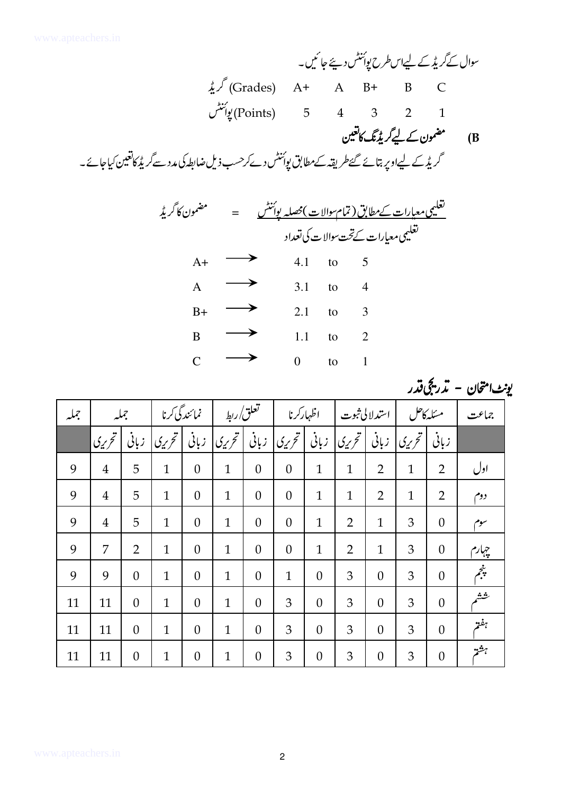سوال کےگریڈ کے لیےاسطرح یوئنٹس دیئے جائیں۔  $\lambda$ یم (Grades) A+ A B+ B C يورنىشى (Points) 5 4 3 2 1 مضمون کے لیےگریڈنگ کاتعین  $(B)$ گریڈ کے لیےاوپر بتائے گئےطریقہ کےمطابق پوئنٹس دےکرحسب ذیل ضابطہ کی مدد سےگریڈ کاتعین کیاجائے۔ تغلیمی معیارات کےتحت سوالات کی تعداد  $\longrightarrow$  $A+$  $4.1$ to 5  $\longrightarrow$  $\mathbf{A}$  $3.1$  $\overline{4}$  $\overline{a}$  $\rightarrow$  $B+$  $2.1$ to  $\overline{3}$  $\longrightarrow$  $1.1$  $\mathbf{B}$  $\overline{2}$ to  $\rightarrow$  $\overline{C}$  $\overline{0}$  $\mathbf{1}$ to

| جملير | جملير          |                | نمائندگی کرنا                           |                  | تعلق/ربط           |                  | اظهاركرنا          |                  | استدلالى ثبوت  |                  | مسكه كاحل        |                  | جماعت |
|-------|----------------|----------------|-----------------------------------------|------------------|--------------------|------------------|--------------------|------------------|----------------|------------------|------------------|------------------|-------|
|       | تحریری         | زبانى          | $ \tilde{\zeta}_\lambda\tilde{\omega} $ | زبانى            | ا تحر <i>ي</i> ي ا | زبانى            | ا تحر <i>ي</i> ي ا | زبانى            | ا تحريري ا     | زبانى            | ا تحر <i>ي</i> ي | زبانى            |       |
| 9     | $\overline{4}$ | 5              | $\mathbf{1}$                            | $\boldsymbol{0}$ | $\mathbf{1}$       | $\boldsymbol{0}$ | $\boldsymbol{0}$   | $\mathbf{1}$     | $\mathbf{1}$   | $\overline{2}$   | $\mathbf{1}$     | $\overline{2}$   | اول   |
| 9     | $\overline{4}$ | 5              | $\mathbf{1}$                            | $\overline{0}$   | $\mathbf{1}$       | $\overline{0}$   | $\boldsymbol{0}$   | $\mathbf{1}$     | $\mathbf{1}$   | $\overline{2}$   | $\mathbf{1}$     | $\overline{2}$   | دوم   |
| 9     | $\overline{4}$ | 5              | $\mathbf{1}$                            | $\overline{0}$   | $\mathbf{1}$       | $\overline{0}$   | $\theta$           | $\mathbf{1}$     | $\overline{2}$ | $\mathbf{1}$     | 3                | $\overline{0}$   | سوم   |
| 9     | 7              | $\overline{2}$ | $\mathbf{1}$                            | $\overline{0}$   | $\mathbf{1}$       | $\boldsymbol{0}$ | $\theta$           | $\mathbf{1}$     | $\overline{2}$ | $\mathbf{1}$     | 3                | $\boldsymbol{0}$ | چہارم |
| 9     | 9              | $\theta$       | $\mathbf{1}$                            | $\overline{0}$   | $\mathbf{1}$       | $\overline{0}$   | $\mathbf{1}$       | $\overline{0}$   | 3              | $\theta$         | 3                | $\theta$         | يثجم  |
| 11    | 11             | $\theta$       | $\mathbf{1}$                            | $\overline{0}$   | $\mathbf{1}$       | $\overline{0}$   | 3                  | $\overline{0}$   | 3              | $\overline{0}$   | 3                | $\overline{0}$   | يثيثه |
| 11    | 11             | $\overline{0}$ | $\mathbf{1}$                            | $\overline{0}$   | $\mathbf{1}$       | $\overline{0}$   | 3                  | $\overline{0}$   | 3              | $\overline{0}$   | 3                | $\overline{0}$   | ببفة  |
| 11    | 11             | $\overline{0}$ | $\mathbf{1}$                            | $\boldsymbol{0}$ | $\mathbf{1}$       | $\boldsymbol{0}$ | 3                  | $\boldsymbol{0}$ | 3              | $\boldsymbol{0}$ | 3                | $\theta$         | تهشمه |

يونٹ امتحان - تدريجي قدر